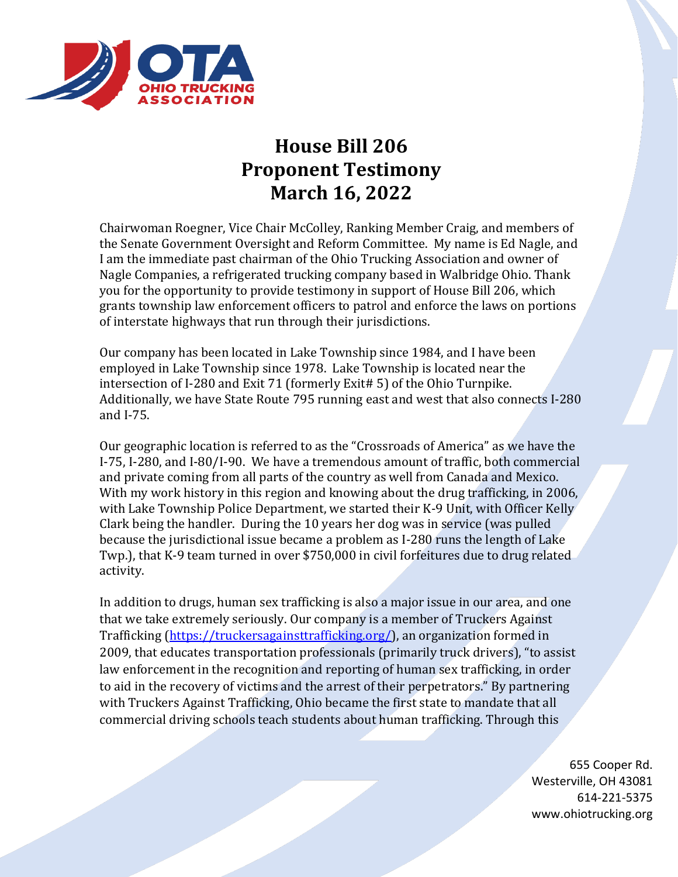

## **House Bill 206 Proponent Testimony March 16, 2022**

Chairwoman Roegner, Vice Chair McColley, Ranking Member Craig, and members of the Senate Government Oversight and Reform Committee. My name is Ed Nagle, and I am the immediate past chairman of the Ohio Trucking Association and owner of Nagle Companies, a refrigerated trucking company based in Walbridge Ohio. Thank you for the opportunity to provide testimony in support of House Bill 206, which grants township law enforcement officers to patrol and enforce the laws on portions of interstate highways that run through their jurisdictions.

Our company has been located in Lake Township since 1984, and I have been employed in Lake Township since 1978. Lake Township is located near the intersection of I-280 and Exit 71 (formerly Exit# 5) of the Ohio Turnpike. Additionally, we have State Route 795 running east and west that also connects I-280 and I-75.

Our geographic location is referred to as the "Crossroads of America" as we have the I-75, I-280, and I-80/I-90. We have a tremendous amount of traffic, both commercial and private coming from all parts of the country as well from Canada and Mexico. With my work history in this region and knowing about the drug trafficking, in 2006, with Lake Township Police Department, we started their K-9 Unit, with Officer Kelly Clark being the handler. During the 10 years her dog was in service (was pulled because the jurisdictional issue became a problem as I-280 runs the length of Lake Twp.), that K-9 team turned in over \$750,000 in civil forfeitures due to drug related activity.

In addition to drugs, human sex trafficking is also a major issue in our area, and one that we take extremely seriously. Our company is a member of Truckers Against Trafficking [\(https://truckersagainsttrafficking.org/\)](https://truckersagainsttrafficking.org/), an organization formed in 2009, that educates transportation professionals (primarily truck drivers), "to assist law enforcement in the recognition and reporting of human sex trafficking, in order to aid in the recovery of victims and the arrest of their perpetrators." By partnering with Truckers Against Trafficking, Ohio became the first state to mandate that all commercial driving schools teach students about human trafficking. Through this

> 655 Cooper Rd. Westerville, OH 43081 614-221-5375 www.ohiotrucking.org